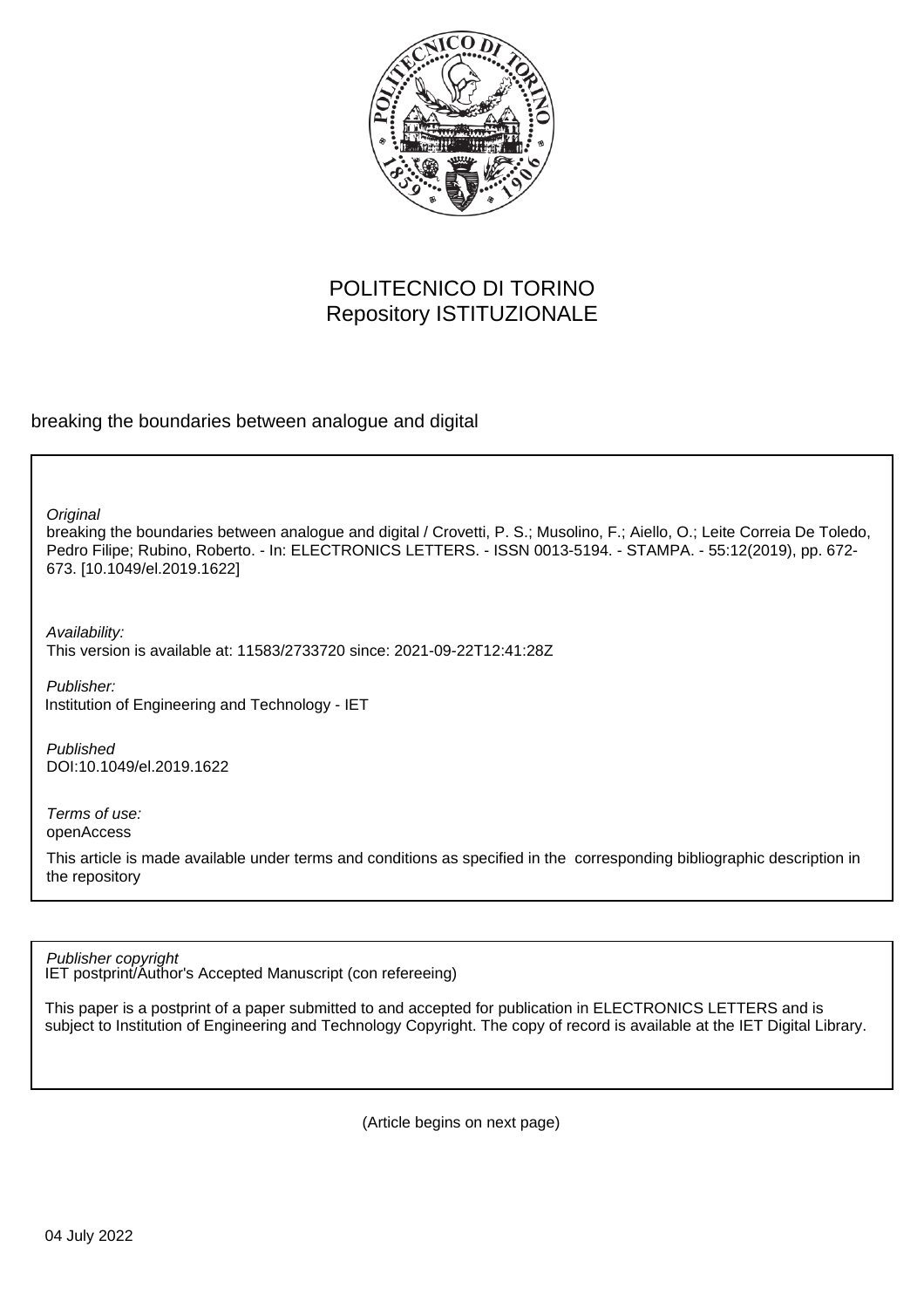

# POLITECNICO DI TORINO Repository ISTITUZIONALE

breaking the boundaries between analogue and digital

**Original** 

breaking the boundaries between analogue and digital / Crovetti, P. S.; Musolino, F.; Aiello, O.; Leite Correia De Toledo, Pedro Filipe; Rubino, Roberto. - In: ELECTRONICS LETTERS. - ISSN 0013-5194. - STAMPA. - 55:12(2019), pp. 672- 673. [10.1049/el.2019.1622]

Availability: This version is available at: 11583/2733720 since: 2021-09-22T12:41:28Z

Publisher: Institution of Engineering and Technology - IET

Published DOI:10.1049/el.2019.1622

Terms of use: openAccess

This article is made available under terms and conditions as specified in the corresponding bibliographic description in the repository

Publisher copyright

IET postprint/Author's Accepted Manuscript (con refereeing)

This paper is a postprint of a paper submitted to and accepted for publication in ELECTRONICS LETTERS and is subject to Institution of Engineering and Technology Copyright. The copy of record is available at the IET Digital Library.

(Article begins on next page)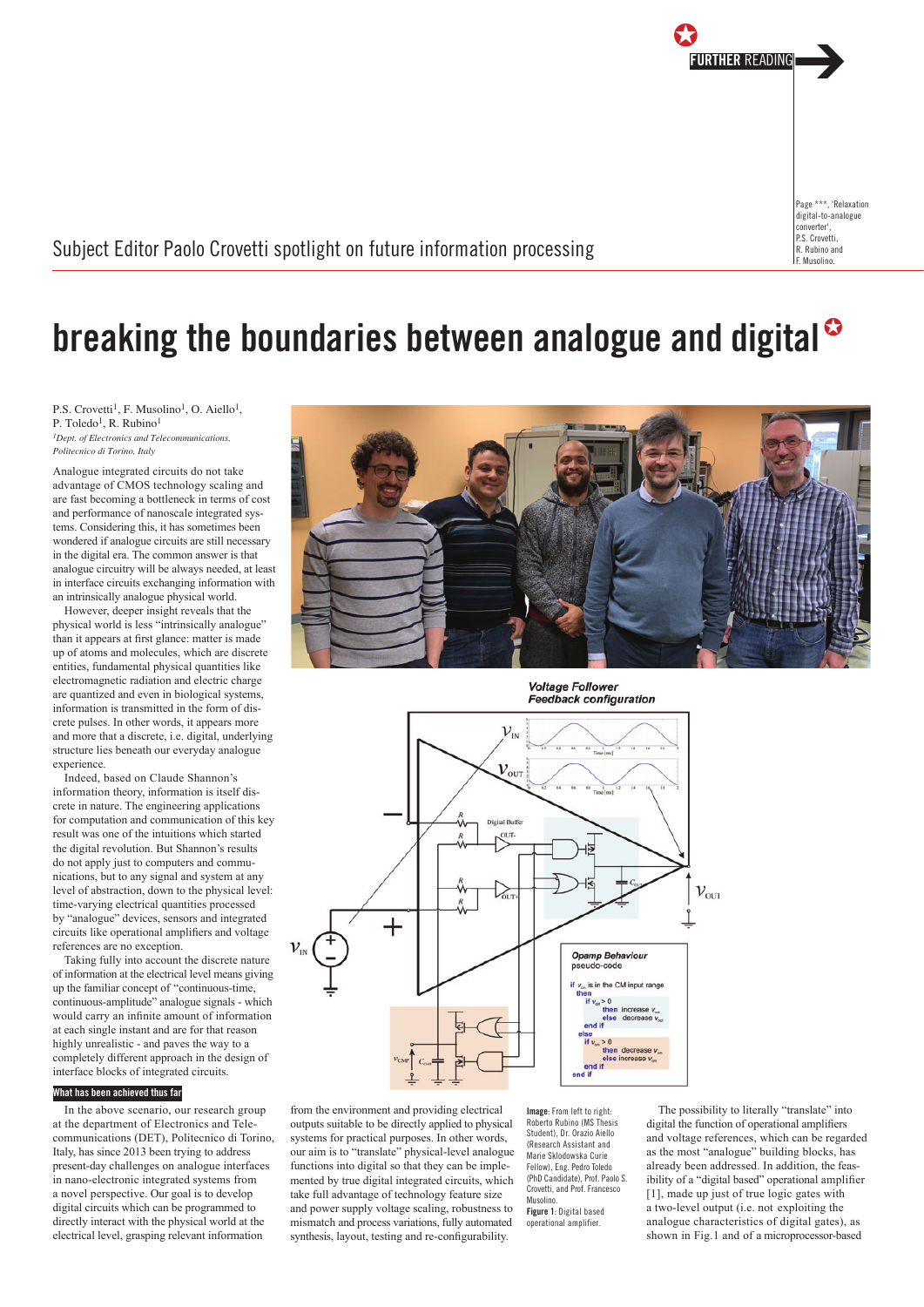

Subject Editor Paolo Crovetti spotlight on future information processing

# breaking the boundaries between analogue and digital<sup>®</sup>

P.S. Crovetti<sup>1</sup>, F. Musolino<sup>1</sup>, O. Aiello<sup>1</sup>, P. Toledo<sup>1</sup>, R. Rubino<sup>1</sup> *1Dept. of Electronics and Telecommunications,* 

*Politecnico di Torino, Italy*

Analogue integrated circuits do not take advantage of CMOS technology scaling and are fast becoming a bottleneck in terms of cost and performance of nanoscale integrated systems. Considering this, it has sometimes been wondered if analogue circuits are still necessary in the digital era. The common answer is that analogue circuitry will be always needed, at least in interface circuits exchanging information with an intrinsically analogue physical world.

However, deeper insight reveals that the physical world is less "intrinsically analogue" than it appears at first glance: matter is made up of atoms and molecules, which are discrete entities, fundamental physical quantities like electromagnetic radiation and electric charge are quantized and even in biological systems, information is transmitted in the form of discrete pulses. In other words, it appears more and more that a discrete, i.e. digital, underlying structure lies beneath our everyday analogue experience.

Indeed, based on Claude Shannon's information theory, information is itself discrete in nature. The engineering applications for computation and communication of this key result was one of the intuitions which started the digital revolution. But Shannon's results do not apply just to computers and communications, but to any signal and system at any level of abstraction, down to the physical level: time-varying electrical quantities processed by "analogue" devices, sensors and integrated circuits like operational amplifiers and voltage references are no exception.

Taking fully into account the discrete nature of information at the electrical level means giving up the familiar concept of "continuous-time, continuous-amplitude" analogue signals - which would carry an infinite amount of information at each single instant and are for that reason highly unrealistic - and paves the way to a completely different approach in the design of interface blocks of integrated circuits.

## What has been achieved thus far

In the above scenario, our research group at the department of Electronics and Telecommunications (DET), Politecnico di Torino, Italy, has since 2013 been trying to address present-day challenges on analogue interfaces in nano-electronic integrated systems from a novel perspective. Our goal is to develop digital circuits which can be programmed to directly interact with the physical world at the electrical level, grasping relevant information



**Voltage Follower Feedback configuration** 



from the environment and providing electrical outputs suitable to be directly applied to physical systems for practical purposes. In other words, our aim is to "translate" physical-level analogue functions into digital so that they can be implemented by true digital integrated circuits, which take full advantage of technology feature size and nower supply voltage scaling, robustness to mismatch and process variations, fully automated synthesis, layout, testing and re-configurability.

Image: From left to right: Roberto Rubino (MS Thesis Student), Dr. Orazio Aiello (Research Assistant and Marie Sklodowska Curie Fellow), Eng. Pedro Toledo (PhD Candidate), Prof. Paolo S. Crovetti, and Prof. Francesco Musolino. Figure 1: Digital based operational amplifier.

The possibility to literally "translate" into digital the function of operational amplifiers and voltage references, which can be regarded as the most "analogue" building blocks, has already been addressed. In addition, the feasibility of a "digital based" operational amplifier [1], made up just of true logic gates with a two-level output (i.e. not exploiting the analogue characteristics of digital gates), as shown in Fig.1 and of a microprocessor-based